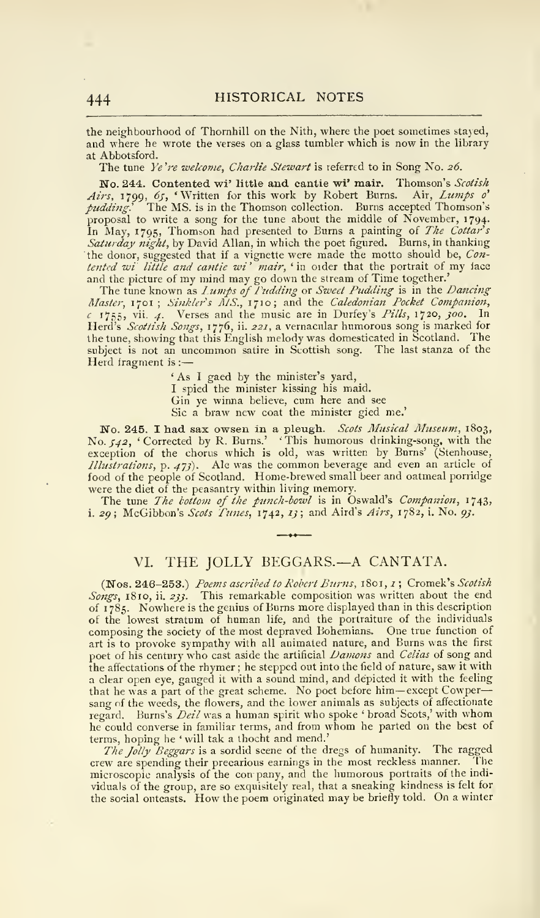## VI. THE JOLLY BEGGARS.—A CANTATA.

(Nos. 246-253.) Poems ascribed to Robert Burns, 1801, 1; Cromek's Scotish Songs, 1810, ii. 233. This remarkable composition was written about the end of <sup>1</sup> 785. Nowhere is the genius of Burns more displayed than in this description of the lowest stratum of human life, and the portraiture of the individuals composing the society of the most depraved Bohemians. One true function of art is to provoke sympathy with all animated nature, and Burns was the first poet of his century who cast aside the artificial Damons and Celias of song and the affectations of the rhymer ; he stepped out into the field of nature, saw it with a clear open eye, gauged it with a sound mind, and depicted it with the feeling that he was <sup>a</sup> part of the great scheme. No poet before him— except Cowper sang of the weeds, the flowers, and the lower animals as subjects of affectionate regard. Burns's Deil was a human spirit who spoke ' broad Scots,' with whom he could converse in familiar terms, and from whom he parted on the best of terms, hoping he 'will tak a thocht and mend.'

The Jolly Beggars is a sordid scene of the dregs of humanity. The ragged crew are spendmg their precarious earnings in the most reckless manner. The microscopic analysis of the con pany, and the humorous portraits of the indi viduals of the group, are so exquisitely real, that a sneaking kindness is felt for the social ontcasts. How the poem originated may be briefly told. On a winter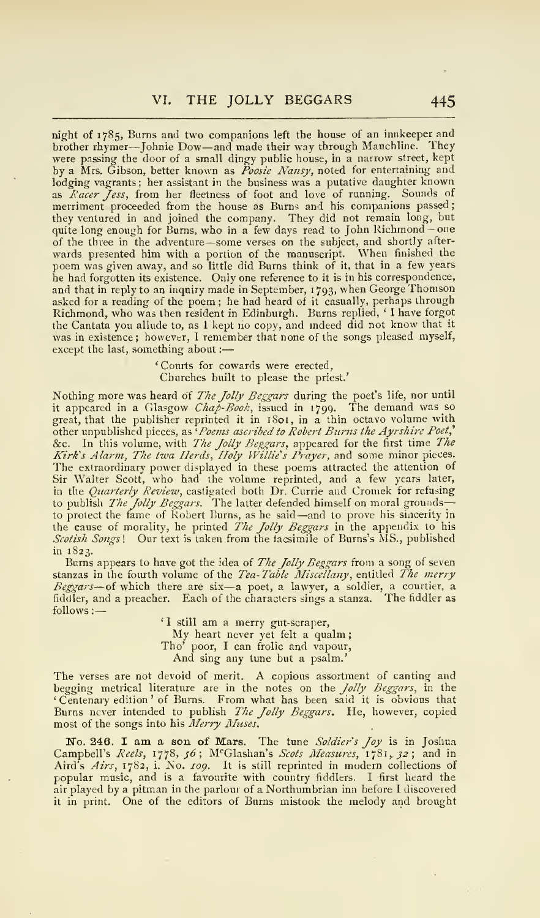night of 1785, Burns and two companions left the house of an innkeeper and brother rhymer—Johnie Dow—and made their way through Mauchline. They were passing the door of a small dingy public house, in a narrow street, kept<br>by a Mrs. Gibson, better known as *Poosie Nansy*, noted for entertaining and<br>lodging vagrants; her assistant in the business was a putative dan they ventured in and joined the company. They did not remain long, but quite long enough for Bums, who in <sup>a</sup> few days read to John Richmond -one of the three in the adventure —some verses on the subject, and shortly after- wards presented him with a portion of the manuscript. When finished the poem was given away, and so little did Burns think of it, that in a few years he had forgotten its existence. Only one reference to it is in his correspondence, and that in reply to an inquiry made in September, <sup>1</sup> 793, when George Thomson asked for a reading of the poem ; he had heard of it casually, perhaps through Richmond, who was then resident in Edinburgli. Burns replied, ' <sup>I</sup> have forgot the Cantata you allude to, as <sup>I</sup> kept no copy, and mdeed did not know that it was in existence ; however, <sup>I</sup> remember that none of the songs pleased myself, except the last, something about :

> 'Courts for cowards were erected, Churches built to please the priest.'

Nothing more was heard of *The Jolly Beggars* during the poet's lite, nor until<br>it appeared in a Glasgow *Chap-Book*, issued in 1799. The demand was so great, that the publisher reprinted it in 1801, in a thin octavo volume with other unpublished pieces, as 'Poems ascribed to Robert Burns the Ayrshire Poet, &c. In this volume, with The Jolly Beggars, appeared for the first time The Kirk's Alarm, The twa Herds, Holy Willie's Prayer, and some minor pieces. The extraordinary power displayed in these poems attracted the attention of Sir Walter Scott, who had the volume reprinted, and a few years later,<br>in the *Quarterly Review,* castigated both Dr. Currie and Cromek for refusing to publish *The Jolly Beggars*. The latter defended himself on moral grounds—<br>to protect the fame of Robert Burns, as he said—and to prove his sincerity in the cause of morality, he printed The Jolly Beggars in the appendix to his Scotish Songs! Our text is taken from the facsimile of Burns's MS., published in 1823.

Burns appears to have got the idea of The Jolly Beggars from a song of seven stanzas in the fourth volume of the *Tea-Table Miscellany*, entitled *The merry*<br>Beggars—of which there are six—a poet, a lawyer, a soldier, a courtier, a<br>fiddler, and a preacher. Each of the characters sings a stanza. The follows :

'I still am a merry gut-scraper, My heart never yet felt a qualm; Tho' poor, <sup>I</sup> can frolic and vapour, And sing any tune but a psalm.'

The verses are not devoid of merit. A copious assortment of canting and begging metrical literature are in the notes on the *Jolly Beggars*, in the ' Centenary edition ' of Burns. From what has been said it is obvious that Burns never intended to publish The Jolly Beggars. He, however, copied most of the songs into his Merry Muses.

No. 246. I am a son of Mars. The tune Soldier's Joy is in Joshua Campbell's *Reels,* 1778, 56; M<sup>e</sup>Glashan's *Scots Measures,* 1781*, 32*; and in<br>Aird's Airs, 1782, i. No. 109. It is still reprinted in modern collections of<br>popular music, and is a favourite with country fiddlers. I firs air played by a pitman in the parlour of a Northumbrian inn before <sup>1</sup> discovered it in print. One of the editors of Burns mistook the melody and brought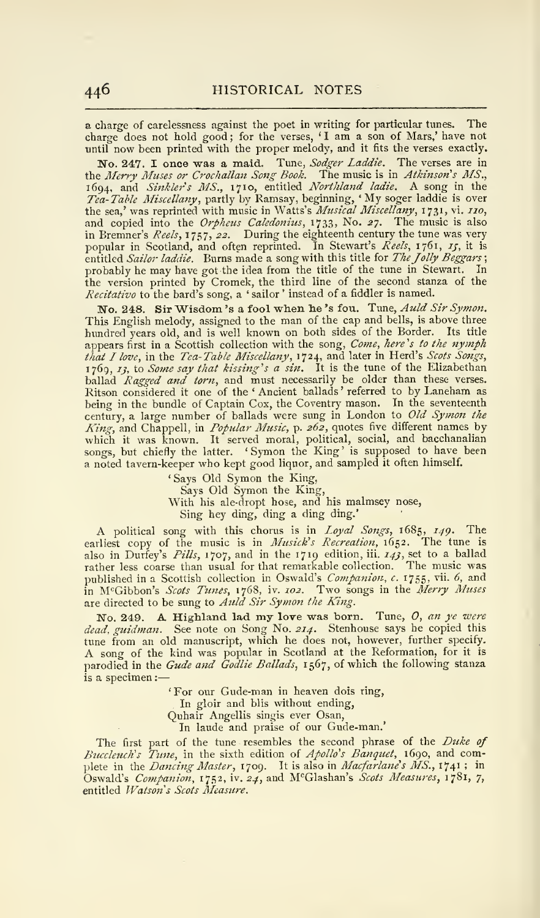a charge of carelessness against the poet in writing for particular tunes. The charge does not hold good; for the verses, 'I am a son of Mars,' have not until now been printed with the proper melody, and it fits the verses exactly.

No. 247. I once was a maid. Tune, Sodger Laddie. The verses are in<br>the Merry Muses or Crochallan Song Book. The music is in Atkinson's MS., 1694, and Sinkler's MS., 1710, entitled Northland ladie. A song in the Tea-Table Miscellany, partly by Ramsay, beginning, 'My soger laddie is over<br>the sea,' was reprinted with music in Watts's Musical Miscellany, 1731, vi. 110, and copied into the Orpheus Caledonius, 1733, No. 27. The music is also in Bremner's Reels, 1757, 22. During the eighteenth century the tune was very popular in Scotland, and often reprinted. In Stewart's Reels, 1761, 15, it is entitled Sailor laddie. Burns made a song with this title for The Jolly Beggars; probably he may have got the idea from the title of the tune in Stewart. In the version printed by Cromek, the third line of the second stanza of the Recitativo to the bard's song, a ' sailor ' instead of a fiddler is named.

No. 248. Sir Wisdom's a fool when he's fou. Tune, Auld Sir Symon. This English melody, assigned to the man of the cap and bells, is above three hundred years old, and is well known on both sides of the Border. Its title appears first in a Scottish collection with the song, Come, here's to the nymph that I love, in the Tea-Table Miscellany, 1724, and later in Herd's Scots Songs,<br>1769, 13, to Some say that kissing's a sin. It is the tune of the Elizabethan ballad *Ragged and torn*, and must necessarily be older than these verses.<br>Ritson considered it one of the 'Ancient ballads' referred to by Lanehan as<br>being in the bundle of Captain Cox, the Coventry mason. In the seventee a noted tavern-keeper who kept good liquor, and sampled it often himself.

' Says Old Symon the King, Says Old Symon the King, With his ale-dropt hose, and his malmsey nose, Sing hey ding, ding a ding ding.'

A political song with this chorus is in Loyal Songs, 1685, 149. The earliest copy of the music is in Musick's Recreation, 1652. The tune is also in Durfey's *Pills*, 1707, and in the 1719 edition, 111 143, set to a ballad<br>rather less coarse than usual for that remarkable collection. The music was published in a Scottish collection in Oswald's Companion, c. 1755, vii. 6, and in McGibbon's Scots Tunes, 1768, iv. 102. Two songs in the Merry Muses are directed to be sung to Auld Sir Symon the King.

No. 249. A Highland lad my love was born. Tune,  $\theta$ , an ye were dead, guidman. See note on Song No. 214. Stenhouse says he copied this tune from an old manuscript, which he does not, however, further specify.<br>A song of the kind was popular in Scotland at the Reformation, for it is<br>parodied in the *Gude and Godlie Ballads*, 1567, of which the following sta is a specimen :

' For our Gude-man in heaven dois ring,

In gloir and blis without ending,

Quhair Angellis singis ever Osan,

In laude and praise of our Gude-man.'

The first part of the tune resembles the second phrase of the Duke of Buccleuch's Tune, in the sixth edition of Apollo's Banquet, 1690, and complete in the Dancing Master, 1709. It is also in Macfarlane's MS., 1741; in Oswald's Companion, 1752, iv. 24, and McGlashan's Scots Measures, 1781, 7, entitled Watson's Scots Measure.